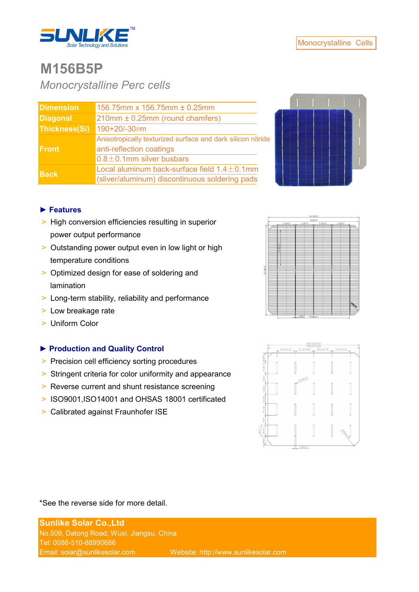

## **M156B5P**

*Monocrystalline Perc cells*

| <b>Dimension</b> | 156.75mm x 156.75mm ± 0.25mm                                                            |  |  |  |
|------------------|-----------------------------------------------------------------------------------------|--|--|--|
| <b>Diagonal</b>  | 210mm ± 0.25mm (round chamfers)                                                         |  |  |  |
| Thickness(Si)    | 190+20/-30µm                                                                            |  |  |  |
| <b>Front</b>     | Anisotropically texturized surface and dark silicon nitride<br>anti-reflection coatings |  |  |  |
|                  | $0.8 \pm 0.1$ mm silver busbars                                                         |  |  |  |
| <b>Back</b>      | Local aluminum back-surface field $1.4 \pm 0.1$ mm                                      |  |  |  |
|                  | (sliver/aluminum) discontinuous soldering pads                                          |  |  |  |



### **► Features**

- > High conversion efficiencies resulting in superior power output performance
- > Outstanding power output even in low light or high temperature conditions
- > Optimized design for ease of soldering and lamination
- > Long-term stability, reliability and performance
- > Low breakage rate
- > Uniform Color

### **► Production and Quality Control**

- > Precision cell efficiency sorting procedures
- > Stringent criteria for color uniformity and appearance
- > Reverse current and shunt resistance screening
- ˃ ISO9001,ISO14001 and OHSAS 18001 certificated
- > Calibrated against Fraunhofer ISE





### \*See the reverse side for more detail.

**Sunlike Solar Co.,Ltd** No.509, Datong Road, Wuxi, Jiangsu, China Tel: 0086-510-88990686 Email: solar@sunlikesolar.com Website: http://www.sunlikesolar.com